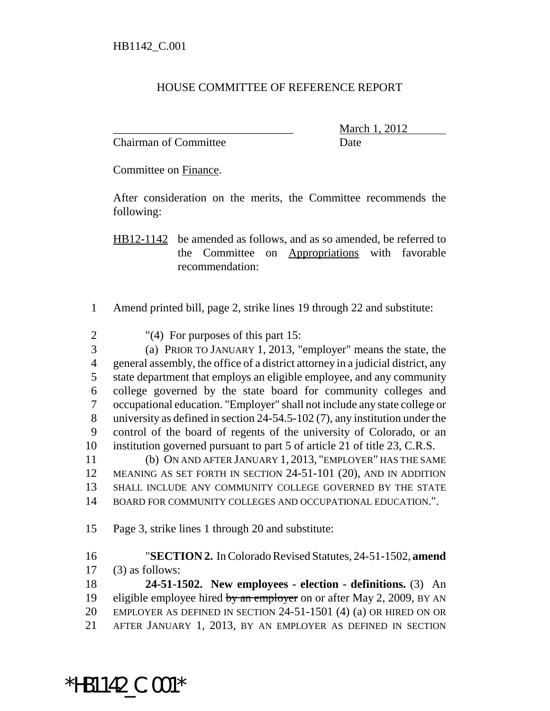## HOUSE COMMITTEE OF REFERENCE REPORT

Chairman of Committee **Date** 

March 1, 2012

Committee on Finance.

After consideration on the merits, the Committee recommends the following:

HB12-1142 be amended as follows, and as so amended, be referred to the Committee on Appropriations with favorable recommendation:

- Amend printed bill, page 2, strike lines 19 through 22 and substitute:
- "(4) For purposes of this part 15:

 (a) PRIOR TO JANUARY 1, 2013, "employer" means the state, the general assembly, the office of a district attorney in a judicial district, any state department that employs an eligible employee, and any community college governed by the state board for community colleges and occupational education. "Employer" shall not include any state college or university as defined in section 24-54.5-102 (7), any institution under the control of the board of regents of the university of Colorado, or an institution governed pursuant to part 5 of article 21 of title 23, C.R.S.

 (b) ON AND AFTER JANUARY 1, 2013, "EMPLOYER" HAS THE SAME MEANING AS SET FORTH IN SECTION 24-51-101 (20), AND IN ADDITION SHALL INCLUDE ANY COMMUNITY COLLEGE GOVERNED BY THE STATE BOARD FOR COMMUNITY COLLEGES AND OCCUPATIONAL EDUCATION.".

Page 3, strike lines 1 through 20 and substitute:

 "**SECTION 2.** In Colorado Revised Statutes, 24-51-1502, **amend** (3) as follows:

 **24-51-1502. New employees - election - definitions.** (3) An 19 eligible employee hired by an employer on or after May 2, 2009, BY AN EMPLOYER AS DEFINED IN SECTION 24-51-1501 (4) (a) OR HIRED ON OR AFTER JANUARY 1, 2013, BY AN EMPLOYER AS DEFINED IN SECTION

\*HB1142\_C.001\*